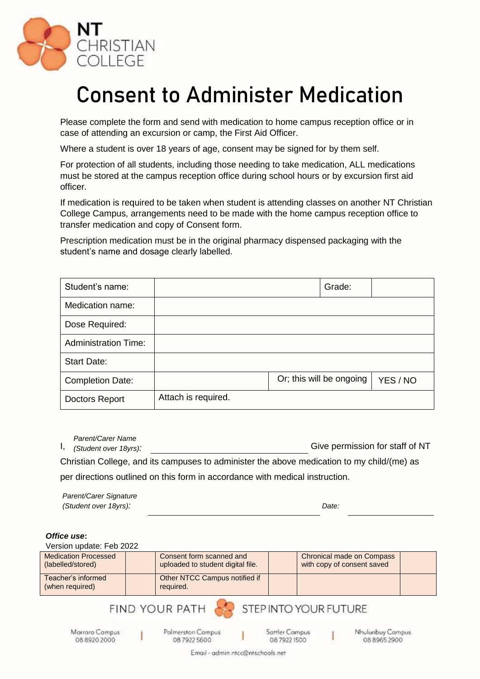

## **Consent to Administer Medication**

Please complete the form and send with medication to home campus reception office or in case of attending an excursion or camp, the First Aid Officer.

Where a student is over 18 years of age, consent may be signed for by them self.

For protection of all students, including those needing to take medication, ALL medications must be stored at the campus reception office during school hours or by excursion first aid officer.

If medication is required to be taken when student is attending classes on another NT Christian College Campus, arrangements need to be made with the home campus reception office to transfer medication and copy of Consent form.

Prescription medication must be in the original pharmacy dispensed packaging with the student's name and dosage clearly labelled.

| Student's name:             |                     | Grade:                   |          |
|-----------------------------|---------------------|--------------------------|----------|
| Medication name:            |                     |                          |          |
| Dose Required:              |                     |                          |          |
| <b>Administration Time:</b> |                     |                          |          |
| <b>Start Date:</b>          |                     |                          |          |
| <b>Completion Date:</b>     |                     | Or; this will be ongoing | YES / NO |
| Doctors Report              | Attach is required. |                          |          |

Give permission for staff of NT Christian College, and its campuses to administer the above medication to my child/(me) as per directions outlined on this form in accordance with medical instruction. *Parent/Carer Name (Student over 18yrs):*

*Parent/Carer Signature (Student over 18yrs): Date:*

## *Office use***:**

Version update: Feb 2022

| <b>Medication Processed</b><br>(labelled/stored) | <b>Consent form scanned and</b><br>uploaded to student digital file. | Chronical made on Compass<br>with copy of consent saved |  |
|--------------------------------------------------|----------------------------------------------------------------------|---------------------------------------------------------|--|
| Teacher's informed<br>(when required)            | Other NTCC Campus notified if<br>required.                           |                                                         |  |

STEP INTO YOUR FUTURE

Marrara Compus 08 8920 2000

Palmerston Campus 08 7922 5600

FIND YOUR PATH

Sattler Campus 0879221500

Nhulunbuy Campus 08 8965 2900

Email - admin.ntcc@ntschools.net